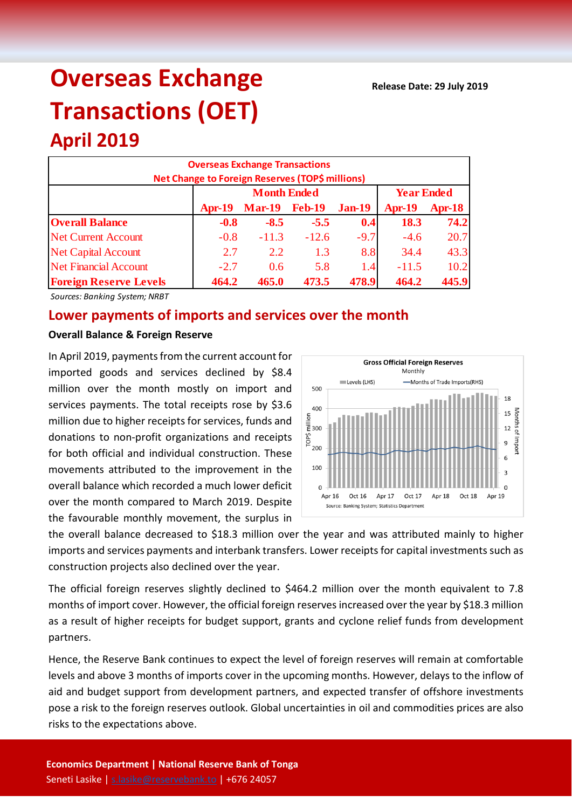# **Overseas Exchange Transactions (OET)**

## **April 2019 Overseas Exchange Transactions Net Change to Foreign Reserves (TOP\$ millions) Apr-19 Mar-19 Feb-19 Jan-19 Apr-19 Apr-18 Overall Balance -0.8 -8.5 -5.5 0.4 18.3 74.2** Net Current Account  $-0.8$   $-11.3$   $-12.6$   $-9.7$   $-4.6$   $20.7$ Net Capital Account 2.7 2.2 1.3 8.8 34.4 43.3 Net Financial Account 1 -2.7 0.6 5.8 1.4 -11.5 10.2 **Foreign Reserve Levels 464.2 465.0 473.5 478.9 464.2 445.9 Month Ended Year Ended**

*Sources: Banking System; NRBT*

### **Lower payments of imports and services over the month**

#### **Overall Balance & Foreign Reserve**

In April 2019, payments from the current account for imported goods and services declined by \$8.4 million over the month mostly on import and services payments. The total receipts rose by \$3.6 million due to higher receipts for services, funds and donations to non-profit organizations and receipts for both official and individual construction. These movements attributed to the improvement in the overall balance which recorded a much lower deficit over the month compared to March 2019. Despite the favourable monthly movement, the surplus in



the overall balance decreased to \$18.3 million over the year and was attributed mainly to higher imports and services payments and interbank transfers. Lower receipts for capital investments such as construction projects also declined over the year.

The official foreign reserves slightly declined to \$464.2 million over the month equivalent to 7.8 months of import cover. However, the official foreign reserves increased over the year by \$18.3 million as a result of higher receipts for budget support, grants and cyclone relief funds from development partners.

Hence, the Reserve Bank continues to expect the level of foreign reserves will remain at comfortable levels and above 3 months of imports cover in the upcoming months. However, delays to the inflow of aid and budget support from development partners, and expected transfer of offshore investments pose a risk to the foreign reserves outlook. Global uncertainties in oil and commodities prices are also risks to the expectations above.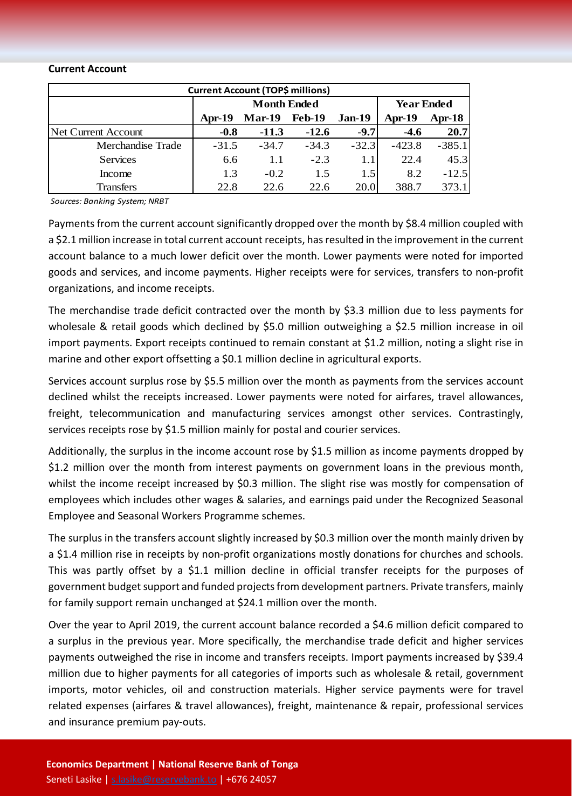#### **Current Account**

| <b>Current Account (TOP\$ millions)</b> |          |                    |                   |         |          |          |  |  |  |
|-----------------------------------------|----------|--------------------|-------------------|---------|----------|----------|--|--|--|
|                                         |          | <b>Month Ended</b> | <b>Year Ended</b> |         |          |          |  |  |  |
|                                         | $Apr-19$ | $Mar-19$           | <b>Feb-19</b>     | Jan-19  | $Apr-19$ | Apr-18   |  |  |  |
| Net Current Account                     | $-0.8$   | $-11.3$            | $-12.6$           | $-9.7$  | $-4.6$   | 20.7     |  |  |  |
| Merchandise Trade                       | $-31.5$  | $-34.7$            | $-34.3$           | $-32.3$ | $-423.8$ | $-385.1$ |  |  |  |
| <b>Services</b>                         | 6.6      | 1.1                | $-2.3$            | 1.1     | 22.4     | 45.3     |  |  |  |
| Income                                  | 1.3      | $-0.2$             | 1.5               | 1.5     | 8.2      | $-12.5$  |  |  |  |
| <b>Transfers</b>                        | 22.8     | 22.6               | 22.6              | 20.0    | 388.7    | 373.1    |  |  |  |

*Sources: Banking System; NRBT*

Payments from the current account significantly dropped over the month by \$8.4 million coupled with a \$2.1 million increase in total current account receipts, has resulted in the improvement in the current account balance to a much lower deficit over the month. Lower payments were noted for imported goods and services, and income payments. Higher receipts were for services, transfers to non-profit organizations, and income receipts.

The merchandise trade deficit contracted over the month by \$3.3 million due to less payments for wholesale & retail goods which declined by \$5.0 million outweighing a \$2.5 million increase in oil import payments. Export receipts continued to remain constant at \$1.2 million, noting a slight rise in marine and other export offsetting a \$0.1 million decline in agricultural exports.

Services account surplus rose by \$5.5 million over the month as payments from the services account declined whilst the receipts increased. Lower payments were noted for airfares, travel allowances, freight, telecommunication and manufacturing services amongst other services. Contrastingly, services receipts rose by \$1.5 million mainly for postal and courier services.

Additionally, the surplus in the income account rose by \$1.5 million as income payments dropped by \$1.2 million over the month from interest payments on government loans in the previous month, whilst the income receipt increased by \$0.3 million. The slight rise was mostly for compensation of employees which includes other wages & salaries, and earnings paid under the Recognized Seasonal Employee and Seasonal Workers Programme schemes.

The surplus in the transfers account slightly increased by \$0.3 million over the month mainly driven by a \$1.4 million rise in receipts by non-profit organizations mostly donations for churches and schools. This was partly offset by a \$1.1 million decline in official transfer receipts for the purposes of government budget support and funded projects from development partners. Private transfers, mainly for family support remain unchanged at \$24.1 million over the month.

Over the year to April 2019, the current account balance recorded a \$4.6 million deficit compared to a surplus in the previous year. More specifically, the merchandise trade deficit and higher services payments outweighed the rise in income and transfers receipts. Import payments increased by \$39.4 million due to higher payments for all categories of imports such as wholesale & retail, government imports, motor vehicles, oil and construction materials. Higher service payments were for travel related expenses (airfares & travel allowances), freight, maintenance & repair, professional services and insurance premium pay-outs.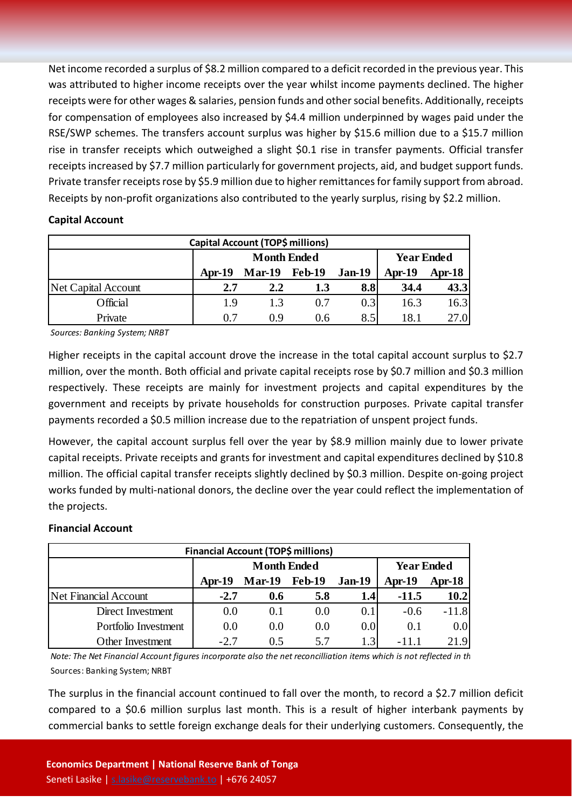Net income recorded a surplus of \$8.2 million compared to a deficit recorded in the previous year. This was attributed to higher income receipts over the year whilst income payments declined. The higher receipts were for other wages & salaries, pension funds and other social benefits. Additionally, receipts for compensation of employees also increased by \$4.4 million underpinned by wages paid under the RSE/SWP schemes. The transfers account surplus was higher by \$15.6 million due to a \$15.7 million rise in transfer receipts which outweighed a slight \$0.1 rise in transfer payments. Official transfer receipts increased by \$7.7 million particularly for government projects, aid, and budget support funds. Private transfer receipts rose by \$5.9 million due to higher remittances for family support from abroad. Receipts by non-profit organizations also contributed to the yearly surplus, rising by \$2.2 million.

#### **Capital Account**

| Capital Account (TOP\$ millions) |          |                      |                   |               |          |        |  |  |
|----------------------------------|----------|----------------------|-------------------|---------------|----------|--------|--|--|
|                                  |          | <b>Month Ended</b>   | <b>Year Ended</b> |               |          |        |  |  |
|                                  | $Apr-19$ | <b>Mar-19 Feb-19</b> |                   | <b>Jan-19</b> | $Apr-19$ | Apr-18 |  |  |
| <b>Net Capital Account</b>       | 2.7      | 2.2                  | 1.3               | 8.8           | 34.4     | 43.3   |  |  |
| Official                         | 19       | 1.3                  | 0.7               | 0.3           | 16.3     | 16.3   |  |  |
| Private                          | 0.7      | 0.9                  | 0.6               | 8.5           | 18.1     | 27.0   |  |  |

*Sources: Banking System; NRBT*

Higher receipts in the capital account drove the increase in the total capital account surplus to \$2.7 million, over the month. Both official and private capital receipts rose by \$0.7 million and \$0.3 million respectively. These receipts are mainly for investment projects and capital expenditures by the government and receipts by private households for construction purposes. Private capital transfer payments recorded a \$0.5 million increase due to the repatriation of unspent project funds.

However, the capital account surplus fell over the year by \$8.9 million mainly due to lower private capital receipts. Private receipts and grants for investment and capital expenditures declined by \$10.8 million. The official capital transfer receipts slightly declined by \$0.3 million. Despite on-going project works funded by multi-national donors, the decline over the year could reflect the implementation of the projects.

#### **Financial Account**

| <b>Financial Account (TOP\$ millions)</b> |          |                      |                   |               |          |         |  |  |
|-------------------------------------------|----------|----------------------|-------------------|---------------|----------|---------|--|--|
|                                           |          | <b>Month Ended</b>   | <b>Year Ended</b> |               |          |         |  |  |
|                                           | $Apr-19$ | <b>Mar-19</b> Feb-19 |                   | <b>Jan-19</b> | $Apr-19$ | Apr-18  |  |  |
| <b>Net Financial Account</b>              | $-2.7$   | 0.6                  | 5.8               | 1.4           | $-11.5$  | 10.2    |  |  |
| Direct Investment                         | 0.0      | 0.1                  | 0.0               | 0.1           | $-0.6$   | $-11.8$ |  |  |
| Portfolio Investment                      | 0.0      | 0.0                  | 0.0               | 0.0           | 0.1      | 0.0     |  |  |
| Other Investment                          | $-2.7$   | 0.5                  | 5.7               |               | -11.1    | 21.9    |  |  |

*Note: The Net Financial Account figures incorporate also the net reconcilliation items which is not reflected in th*  Sources: Banking System; NRBT

The surplus in the financial account continued to fall over the month, to record a \$2.7 million deficit compared to a \$0.6 million surplus last month. This is a result of higher interbank payments by commercial banks to settle foreign exchange deals for their underlying customers. Consequently, the